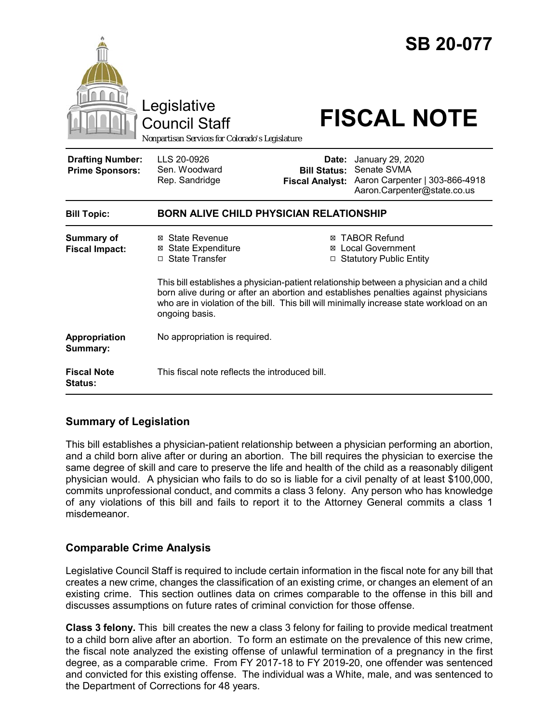

# **Summary of Legislation**

This bill establishes a physician-patient relationship between a physician performing an abortion, and a child born alive after or during an abortion. The bill requires the physician to exercise the same degree of skill and care to preserve the life and health of the child as a reasonably diligent physician would. A physician who fails to do so is liable for a civil penalty of at least \$100,000, commits unprofessional conduct, and commits a class 3 felony. Any person who has knowledge of any violations of this bill and fails to report it to the Attorney General commits a class 1 misdemeanor.

### **Comparable Crime Analysis**

Legislative Council Staff is required to include certain information in the fiscal note for any bill that creates a new crime, changes the classification of an existing crime, or changes an element of an existing crime. This section outlines data on crimes comparable to the offense in this bill and discusses assumptions on future rates of criminal conviction for those offense.

**Class 3 felony.** This bill creates the new a class 3 felony for failing to provide medical treatment to a child born alive after an abortion. To form an estimate on the prevalence of this new crime, the fiscal note analyzed the existing offense of unlawful termination of a pregnancy in the first degree, as a comparable crime. From FY 2017-18 to FY 2019-20, one offender was sentenced and convicted for this existing offense. The individual was a White, male, and was sentenced to the Department of Corrections for 48 years.